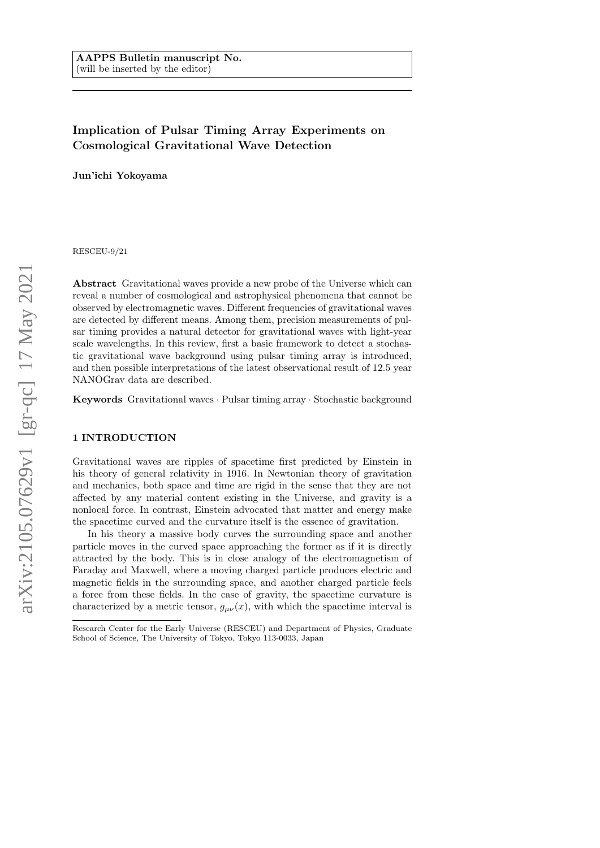# Implication of Pulsar Timing Array Experiments on Cosmological Gravitational Wave Detection

Jun'ichi Yokoyama

RESCEU-9/21

Abstract Gravitational waves provide a new probe of the Universe which can reveal a number of cosmological and astrophysical phenomena that cannot be observed by electromagnetic waves. Different frequencies of gravitational waves are detected by different means. Among them, precision measurements of pulsar timing provides a natural detector for gravitational waves with light-year scale wavelengths. In this review, first a basic framework to detect a stochastic gravitational wave background using pulsar timing array is introduced, and then possible interpretations of the latest observational result of 12.5 year NANOGrav data are described.

Keywords Gravitational waves · Pulsar timing array · Stochastic background

## 1 INTRODUCTION

Gravitational waves are ripples of spacetime first predicted by Einstein in his theory of general relativity in 1916. In Newtonian theory of gravitation and mechanics, both space and time are rigid in the sense that they are not affected by any material content existing in the Universe, and gravity is a nonlocal force. In contrast, Einstein advocated that matter and energy make the spacetime curved and the curvature itself is the essence of gravitation.

In his theory a massive body curves the surrounding space and another particle moves in the curved space approaching the former as if it is directly attracted by the body. This is in close analogy of the electromagnetism of Faraday and Maxwell, where a moving charged particle produces electric and magnetic fields in the surrounding space, and another charged particle feels a force from these fields. In the case of gravity, the spacetime curvature is characterized by a metric tensor,  $g_{\mu\nu}(x)$ , with which the spacetime interval is

Research Center for the Early Universe (RESCEU) and Department of Physics, Graduate School of Science, The University of Tokyo, Tokyo 113-0033, Japan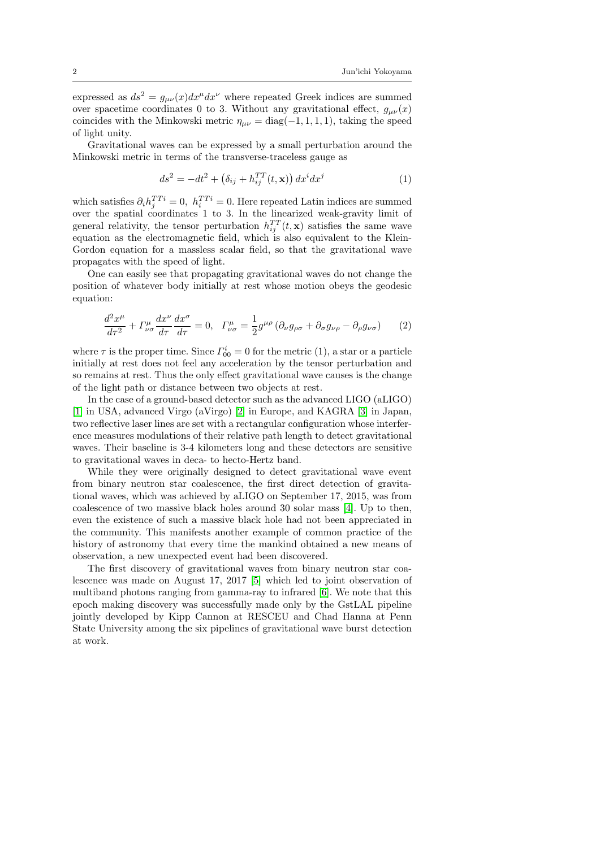expressed as  $ds^2 = g_{\mu\nu}(x)dx^{\mu}dx^{\nu}$  where repeated Greek indices are summed over spacetime coordinates 0 to 3. Without any gravitational effect,  $g_{\mu\nu}(x)$ coincides with the Minkowski metric  $\eta_{\mu\nu} = \text{diag}(-1, 1, 1, 1)$ , taking the speed of light unity.

Gravitational waves can be expressed by a small perturbation around the Minkowski metric in terms of the transverse-traceless gauge as

$$
ds^{2} = -dt^{2} + \left(\delta_{ij} + h_{ij}^{TT}(t, \mathbf{x})\right) dx^{i} dx^{j}
$$
\n(1)

which satisfies  $\partial_i h_j^{TT} = 0$ ,  $h_i^{TT} = 0$ . Here repeated Latin indices are summed over the spatial coordinates 1 to 3. In the linearized weak-gravity limit of general relativity, the tensor perturbation  $h_{ij}^{TT}(t, \mathbf{x})$  satisfies the same wave equation as the electromagnetic field, which is also equivalent to the Klein-Gordon equation for a massless scalar field, so that the gravitational wave propagates with the speed of light.

One can easily see that propagating gravitational waves do not change the position of whatever body initially at rest whose motion obeys the geodesic equation:

$$
\frac{d^2x^{\mu}}{d\tau^2} + \Gamma^{\mu}_{\nu\sigma} \frac{dx^{\nu}}{d\tau} \frac{dx^{\sigma}}{d\tau} = 0, \quad \Gamma^{\mu}_{\nu\sigma} = \frac{1}{2} g^{\mu\rho} \left( \partial_{\nu} g_{\rho\sigma} + \partial_{\sigma} g_{\nu\rho} - \partial_{\rho} g_{\nu\sigma} \right) \tag{2}
$$

where  $\tau$  is the proper time. Since  $\Gamma_{00}^{i} = 0$  for the metric (1), a star or a particle initially at rest does not feel any acceleration by the tensor perturbation and so remains at rest. Thus the only effect gravitational wave causes is the change of the light path or distance between two objects at rest.

In the case of a ground-based detector such as the advanced LIGO (aLIGO) [\[1\]](#page-20-0) in USA, advanced Virgo (aVirgo) [\[2\]](#page-20-1) in Europe, and KAGRA [\[3\]](#page-20-2) in Japan, two reflective laser lines are set with a rectangular configuration whose interference measures modulations of their relative path length to detect gravitational waves. Their baseline is 3-4 kilometers long and these detectors are sensitive to gravitational waves in deca- to hecto-Hertz band.

While they were originally designed to detect gravitational wave event from binary neutron star coalescence, the first direct detection of gravitational waves, which was achieved by aLIGO on September 17, 2015, was from coalescence of two massive black holes around 30 solar mass [\[4\]](#page-20-3). Up to then, even the existence of such a massive black hole had not been appreciated in the community. This manifests another example of common practice of the history of astronomy that every time the mankind obtained a new means of observation, a new unexpected event had been discovered.

The first discovery of gravitational waves from binary neutron star coalescence was made on August 17, 2017 [\[5\]](#page-20-4) which led to joint observation of multiband photons ranging from gamma-ray to infrared [\[6\]](#page-20-5). We note that this epoch making discovery was successfully made only by the GstLAL pipeline jointly developed by Kipp Cannon at RESCEU and Chad Hanna at Penn State University among the six pipelines of gravitational wave burst detection at work.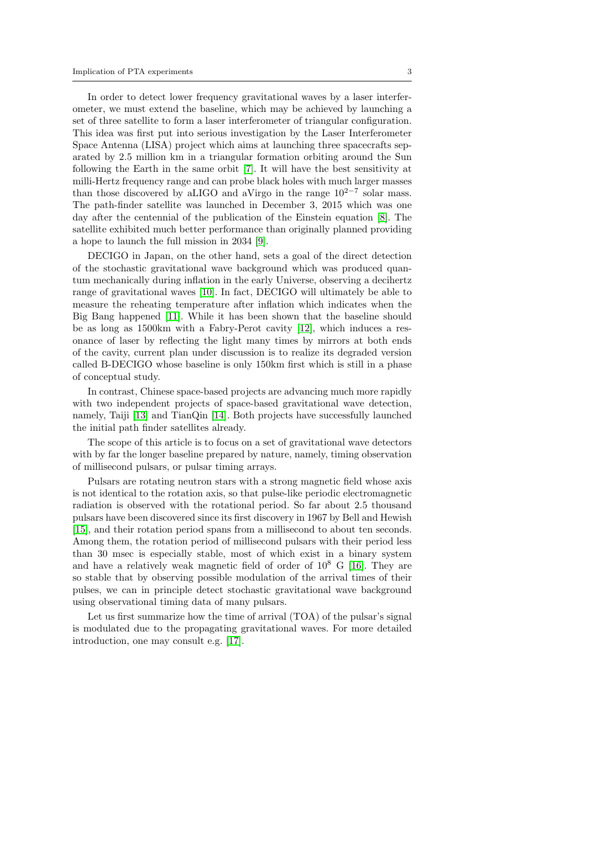In order to detect lower frequency gravitational waves by a laser interferometer, we must extend the baseline, which may be achieved by launching a set of three satellite to form a laser interferometer of triangular configuration. This idea was first put into serious investigation by the Laser Interferometer Space Antenna (LISA) project which aims at launching three spacecrafts separated by 2.5 million km in a triangular formation orbiting around the Sun following the Earth in the same orbit [\[7\]](#page-20-6). It will have the best sensitivity at milli-Hertz frequency range and can probe black holes with much larger masses than those discovered by aLIGO and aVirgo in the range  $10^{2-7}$  solar mass. The path-finder satellite was launched in December 3, 2015 which was one day after the centennial of the publication of the Einstein equation [\[8\]](#page-20-7). The satellite exhibited much better performance than originally planned providing a hope to launch the full mission in 2034 [\[9\]](#page-20-8).

DECIGO in Japan, on the other hand, sets a goal of the direct detection of the stochastic gravitational wave background which was produced quantum mechanically during inflation in the early Universe, observing a decihertz range of gravitational waves [\[10\]](#page-20-9). In fact, DECIGO will ultimately be able to measure the reheating temperature after inflation which indicates when the Big Bang happened [\[11\]](#page-20-10). While it has been shown that the baseline should be as long as 1500km with a Fabry-Perot cavity [\[12\]](#page-20-11), which induces a resonance of laser by reflecting the light many times by mirrors at both ends of the cavity, current plan under discussion is to realize its degraded version called B-DECIGO whose baseline is only 150km first which is still in a phase of conceptual study.

In contrast, Chinese space-based projects are advancing much more rapidly with two independent projects of space-based gravitational wave detection, namely, Taiji [\[13\]](#page-20-12) and TianQin [\[14\]](#page-20-13). Both projects have successfully launched the initial path finder satellites already.

The scope of this article is to focus on a set of gravitational wave detectors with by far the longer baseline prepared by nature, namely, timing observation of millisecond pulsars, or pulsar timing arrays.

Pulsars are rotating neutron stars with a strong magnetic field whose axis is not identical to the rotation axis, so that pulse-like periodic electromagnetic radiation is observed with the rotational period. So far about 2.5 thousand pulsars have been discovered since its first discovery in 1967 by Bell and Hewish [\[15\]](#page-20-14), and their rotation period spans from a millisecond to about ten seconds. Among them, the rotation period of millisecond pulsars with their period less than 30 msec is especially stable, most of which exist in a binary system and have a relatively weak magnetic field of order of  $10^8$  G [\[16\]](#page-20-15). They are so stable that by observing possible modulation of the arrival times of their pulses, we can in principle detect stochastic gravitational wave background using observational timing data of many pulsars.

Let us first summarize how the time of arrival (TOA) of the pulsar's signal is modulated due to the propagating gravitational waves. For more detailed introduction, one may consult e.g. [\[17\]](#page-20-16).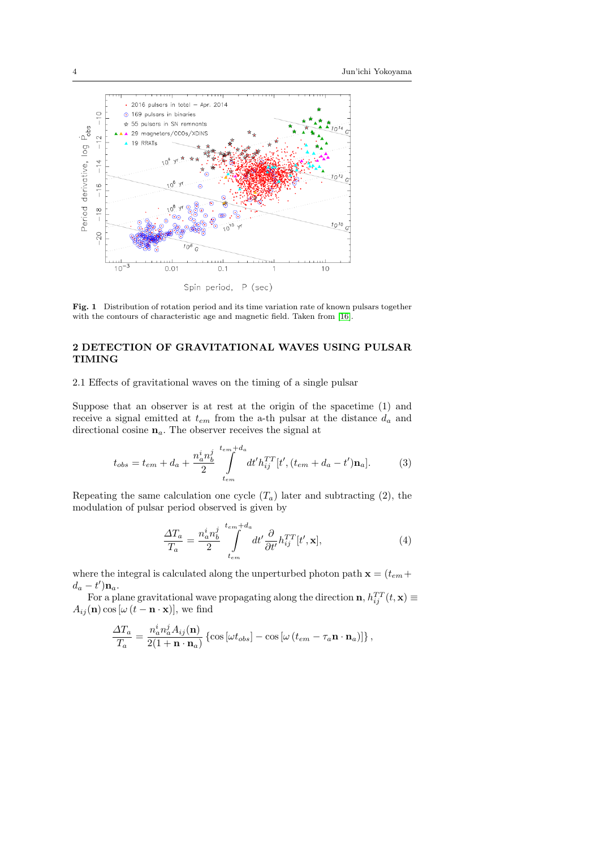

Fig. 1 Distribution of rotation period and its time variation rate of known pulsars together with the contours of characteristic age and magnetic field. Taken from [\[16\]](#page-20-15).

# 2 DETECTION OF GRAVITATIONAL WAVES USING PULSAR TIMING

2.1 Effects of gravitational waves on the timing of a single pulsar

Suppose that an observer is at rest at the origin of the spacetime (1) and receive a signal emitted at  $t_{em}$  from the a-th pulsar at the distance  $d_a$  and directional cosine  $\mathbf{n}_a.$  The observer receives the signal at

$$
t_{obs} = t_{em} + d_a + \frac{n_a^i n_b^j}{2} \int_{t_{em}}^{t_{em} + d_a} dt' h_{ij}^{TT} [t', (t_{em} + d_a - t') \mathbf{n}_a]. \tag{3}
$$

Repeating the same calculation one cycle  $(T_a)$  later and subtracting (2), the modulation of pulsar period observed is given by

$$
\frac{\Delta T_a}{T_a} = \frac{n_a^i n_b^j}{2} \int_{t_{em}}^{t_{em}+d_a} dt' \frac{\partial}{\partial t'} h_{ij}^{TT}[t', \mathbf{x}],\tag{4}
$$

where the integral is calculated along the unperturbed photon path  $\mathbf{x} = (t_{em} +$  $d_a - t' \bigr) \mathbf{n}_a.$ 

For a plane gravitational wave propagating along the direction  $\mathbf{n}, h_{ij}^{TT}(t, \mathbf{x}) \equiv$  $A_{ij}(\mathbf{n}) \cos [\omega (t - \mathbf{n} \cdot \mathbf{x})],$  we find

$$
\frac{\Delta T_a}{T_a} = \frac{n_a^i n_a^j A_{ij}(\mathbf{n})}{2(1+\mathbf{n}\cdot\mathbf{n}_a)} \left\{ \cos\left[\omega t_{obs}\right] - \cos\left[\omega\left(t_{em} - \tau_a \mathbf{n}\cdot\mathbf{n}_a\right)\right] \right\},\,
$$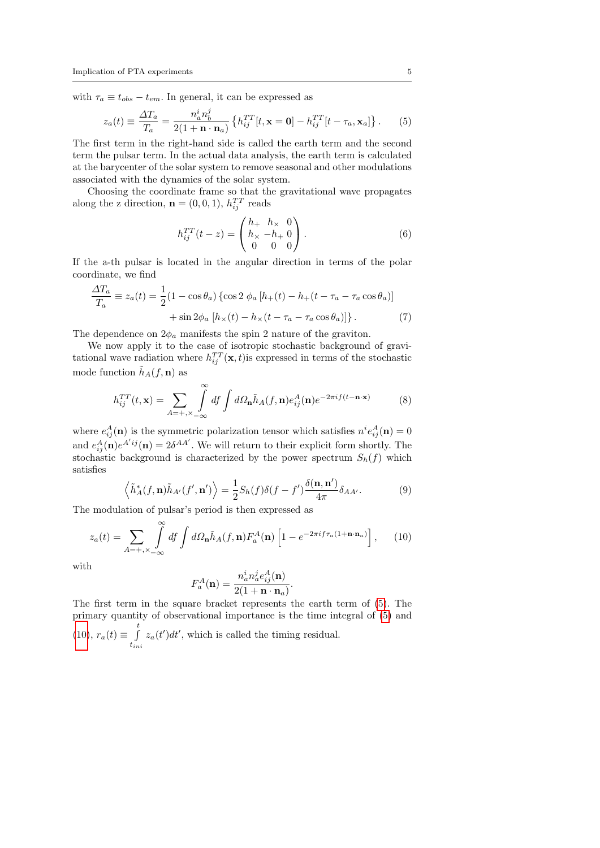with  $\tau_a \equiv t_{obs} - t_{em}$ . In general, it can be expressed as

<span id="page-4-0"></span>
$$
z_a(t) \equiv \frac{\Delta T_a}{T_a} = \frac{n_a^i n_b^j}{2(1 + \mathbf{n} \cdot \mathbf{n}_a)} \left\{ h_{ij}^{TT}[t, \mathbf{x} = \mathbf{0}] - h_{ij}^{TT}[t - \tau_a, \mathbf{x}_a] \right\}.
$$
 (5)

The first term in the right-hand side is called the earth term and the second term the pulsar term. In the actual data analysis, the earth term is calculated at the barycenter of the solar system to remove seasonal and other modulations associated with the dynamics of the solar system.

Choosing the coordinate frame so that the gravitational wave propagates along the z direction,  $\mathbf{n} = (0, 0, 1), h_{ij}^{TT}$  reads

$$
h_{ij}^{TT}(t-z) = \begin{pmatrix} h_{+} & h_{\times} & 0 \\ h_{\times} & -h_{+} & 0 \\ 0 & 0 & 0 \end{pmatrix}.
$$
 (6)

If the a-th pulsar is located in the angular direction in terms of the polar coordinate, we find

$$
\frac{\Delta T_a}{T_a} \equiv z_a(t) = \frac{1}{2} (1 - \cos \theta_a) \left\{ \cos 2 \phi_a \left[ h_+(t) - h_+(t - \tau_a - \tau_a \cos \theta_a) \right] \right. \\
\left. + \sin 2 \phi_a \left[ h_\times(t) - h_\times(t - \tau_a - \tau_a \cos \theta_a) \right] \right\}.
$$
\n(7)

The dependence on  $2\phi_a$  manifests the spin 2 nature of the graviton.

We now apply it to the case of isotropic stochastic background of gravitational wave radiation where  $h_{ij}^{TT}(\mathbf{x}, t)$  is expressed in terms of the stochastic mode function  $\tilde{h}_A(f, \mathbf{n})$  as

$$
h_{ij}^{TT}(t, \mathbf{x}) = \sum_{A = +, \times -\infty} \int_{-\infty}^{\infty} df \int d\Omega_{\mathbf{n}} \tilde{h}_A(f, \mathbf{n}) e_{ij}^A(\mathbf{n}) e^{-2\pi i f(t - \mathbf{n} \cdot \mathbf{x})}
$$
(8)

where  $e_{ij}^A(\mathbf{n})$  is the symmetric polarization tensor which satisfies  $n^i e_{ij}^A(\mathbf{n}) = 0$ and  $e_{ij}^A(\mathbf{n})e^{A'ij}(\mathbf{n})=2\delta^{AA'}$ . We will return to their explicit form shortly. The stochastic background is characterized by the power spectrum  $S_h(f)$  which satisfies

$$
\left\langle \tilde{h}_A^*(f, \mathbf{n}) \tilde{h}_{A'}(f', \mathbf{n}') \right\rangle = \frac{1}{2} S_h(f) \delta(f - f') \frac{\delta(\mathbf{n}, \mathbf{n}')}{4\pi} \delta_{AA'}.
$$
 (9)

The modulation of pulsar's period is then expressed as

<span id="page-4-1"></span>
$$
z_a(t) = \sum_{A=+,\times} \int\limits_{-\infty}^{\infty} df \int d\Omega_{\mathbf{n}} \tilde{h}_A(f,\mathbf{n}) F_a^A(\mathbf{n}) \left[1 - e^{-2\pi i f \tau_a (1 + \mathbf{n} \cdot \mathbf{n}_a)}\right], \quad (10)
$$

with

$$
F_a^A(\mathbf{n}) = \frac{n_a^i n_a^j e_{ij}^A(\mathbf{n})}{2(1 + \mathbf{n} \cdot \mathbf{n}_a)}.
$$

The first term in the square bracket represents the earth term of [\(5\)](#page-4-0). The primary quantity of observational importance is the time integral of [\(5\)](#page-4-0) and  $(10), r_a(t) \equiv \int_0^t$  $(10), r_a(t) \equiv \int_0^t$ tini  $z_a(t')dt'$ , which is called the timing residual.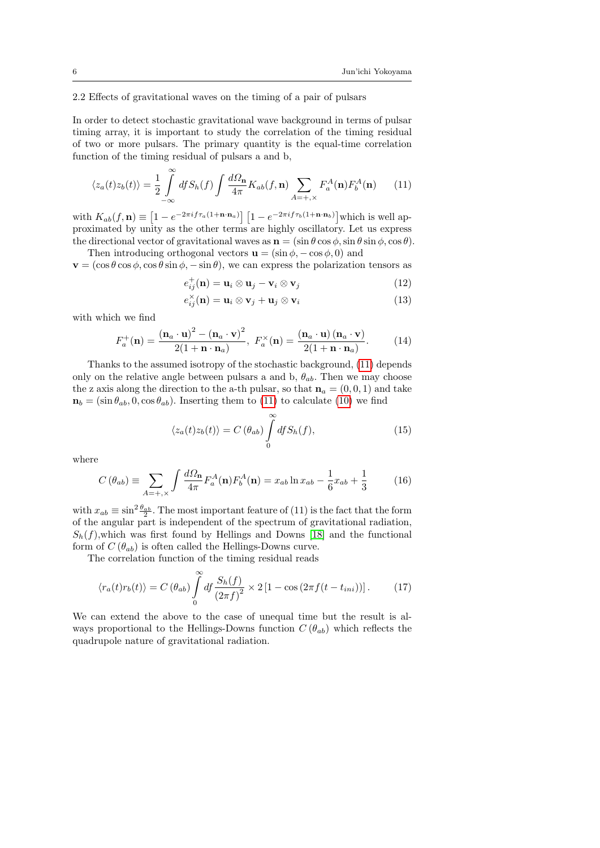## 2.2 Effects of gravitational waves on the timing of a pair of pulsars

In order to detect stochastic gravitational wave background in terms of pulsar timing array, it is important to study the correlation of the timing residual of two or more pulsars. The primary quantity is the equal-time correlation function of the timing residual of pulsars a and b,

<span id="page-5-0"></span>
$$
\langle z_a(t)z_b(t)\rangle = \frac{1}{2}\int\limits_{-\infty}^{\infty} df S_h(f) \int \frac{d\Omega_\mathbf{n}}{4\pi} K_{ab}(f,\mathbf{n}) \sum\limits_{A=+,\times} F_a^A(\mathbf{n}) F_b^A(\mathbf{n}) \tag{11}
$$

with  $K_{ab}(f, \mathbf{n}) \equiv \left[1 - e^{-2\pi i f \tau_a (1 + \mathbf{n} \cdot \mathbf{n}_a)}\right] \left[1 - e^{-2\pi i f \tau_b (1 + \mathbf{n} \cdot \mathbf{n}_b)}\right]$  which is well approximated by unity as the other terms are highly oscillatory. Let us express the directional vector of gravitational waves as  $\mathbf{n} = (\sin \theta \cos \phi, \sin \theta \sin \phi, \cos \theta)$ .

Then introducing orthogonal vectors  $\mathbf{u} = (\sin \phi, -\cos \phi, 0)$  and  $\mathbf{v} = (\cos \theta \cos \phi, \cos \theta \sin \phi, -\sin \theta)$ , we can express the polarization tensors as

$$
e_{ij}^{+}(\mathbf{n}) = \mathbf{u}_{i} \otimes \mathbf{u}_{j} - \mathbf{v}_{i} \otimes \mathbf{v}_{j}
$$
 (12)

$$
e_{ij}^{\times}(\mathbf{n}) = \mathbf{u}_i \otimes \mathbf{v}_j + \mathbf{u}_j \otimes \mathbf{v}_i \tag{13}
$$

with which we find

$$
F_a^+(\mathbf{n}) = \frac{(\mathbf{n}_a \cdot \mathbf{u})^2 - (\mathbf{n}_a \cdot \mathbf{v})^2}{2(1 + \mathbf{n} \cdot \mathbf{n}_a)}, \ F_a^\times(\mathbf{n}) = \frac{(\mathbf{n}_a \cdot \mathbf{u}) (\mathbf{n}_a \cdot \mathbf{v})}{2(1 + \mathbf{n} \cdot \mathbf{n}_a)}.
$$
 (14)

Thanks to the assumed isotropy of the stochastic background, [\(11\)](#page-5-0) depends only on the relative angle between pulsars a and b,  $\theta_{ab}$ . Then we may choose the z axis along the direction to the a-th pulsar, so that  $n_a = (0, 0, 1)$  and take  $\mathbf{n}_b = (\sin \theta_{ab}, 0, \cos \theta_{ab})$ . Inserting them to [\(11\)](#page-5-0) to calculate [\(10\)](#page-4-1) we find

$$
\langle z_a(t)z_b(t)\rangle = C\left(\theta_{ab}\right) \int\limits_0^\infty df S_h(f),\tag{15}
$$

where

$$
C(\theta_{ab}) \equiv \sum_{A=+, \times} \int \frac{d\Omega_{\mathbf{n}}}{4\pi} F_a^A(\mathbf{n}) F_b^A(\mathbf{n}) = x_{ab} \ln x_{ab} - \frac{1}{6} x_{ab} + \frac{1}{3}
$$
(16)

with  $x_{ab} \equiv \sin^2 \frac{\theta_{ab}}{2}$ . The most important feature of (11) is the fact that the form of the angular part is independent of the spectrum of gravitational radiation,  $S_h(f)$ , which was first found by Hellings and Downs [\[18\]](#page-20-17) and the functional form of  $C(\theta_{ab})$  is often called the Hellings-Downs curve.

The correlation function of the timing residual reads

$$
\langle r_a(t)r_b(t)\rangle = C\left(\theta_{ab}\right)\int\limits_0^\infty df \frac{S_h(f)}{\left(2\pi f\right)^2} \times 2\left[1 - \cos\left(2\pi f(t - t_{ini})\right)\right].\tag{17}
$$

We can extend the above to the case of unequal time but the result is always proportional to the Hellings-Downs function  $C(\theta_{ab})$  which reflects the quadrupole nature of gravitational radiation.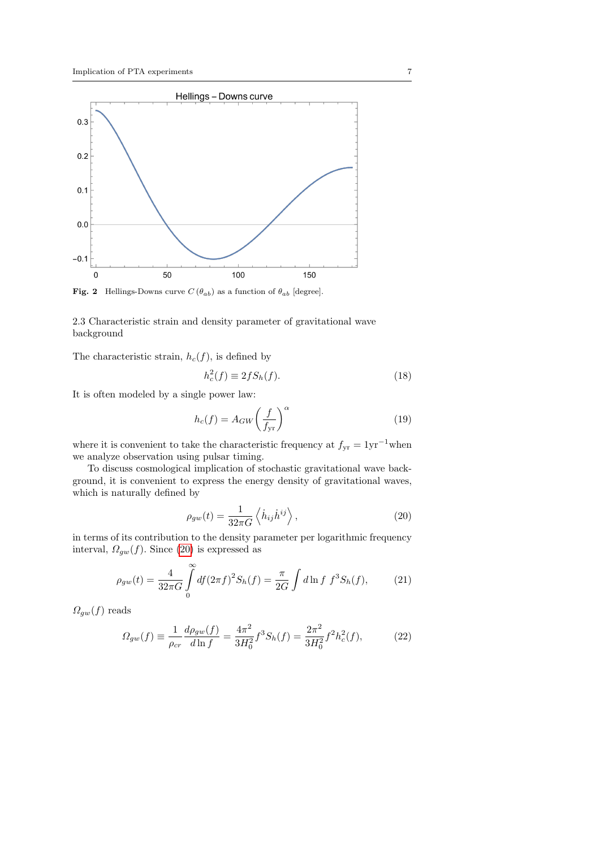

**Fig. 2** Hellings-Downs curve  $C(\theta_{ab})$  as a function of  $\theta_{ab}$  [degree].

2.3 Characteristic strain and density parameter of gravitational wave background

The characteristic strain,  $h_c(f)$ , is defined by

$$
h_c^2(f) \equiv 2fS_h(f). \tag{18}
$$

It is often modeled by a single power law:

$$
h_c(f) = A_{GW} \left(\frac{f}{f_{yr}}\right)^{\alpha} \tag{19}
$$

where it is convenient to take the characteristic frequency at  $f_{yr} = 1yr^{-1}$ when we analyze observation using pulsar timing.

To discuss cosmological implication of stochastic gravitational wave background, it is convenient to express the energy density of gravitational waves, which is naturally defined by

<span id="page-6-0"></span>
$$
\rho_{gw}(t) = \frac{1}{32\pi G} \left\langle \dot{h}_{ij} \dot{h}^{ij} \right\rangle, \tag{20}
$$

in terms of its contribution to the density parameter per logarithmic frequency interval,  $\Omega_{gw}(f)$ . Since [\(20\)](#page-6-0) is expressed as

$$
\rho_{gw}(t) = \frac{4}{32\pi G} \int_{0}^{\infty} df(2\pi f)^2 S_h(f) = \frac{\pi}{2G} \int d\ln f \ f^3 S_h(f), \tag{21}
$$

 $\Omega_{gw}(f)$  reads

$$
\Omega_{gw}(f) \equiv \frac{1}{\rho_{cr}} \frac{d\rho_{gw}(f)}{d\ln f} = \frac{4\pi^2}{3H_0^2} f^3 S_h(f) = \frac{2\pi^2}{3H_0^2} f^2 h_c^2(f),\tag{22}
$$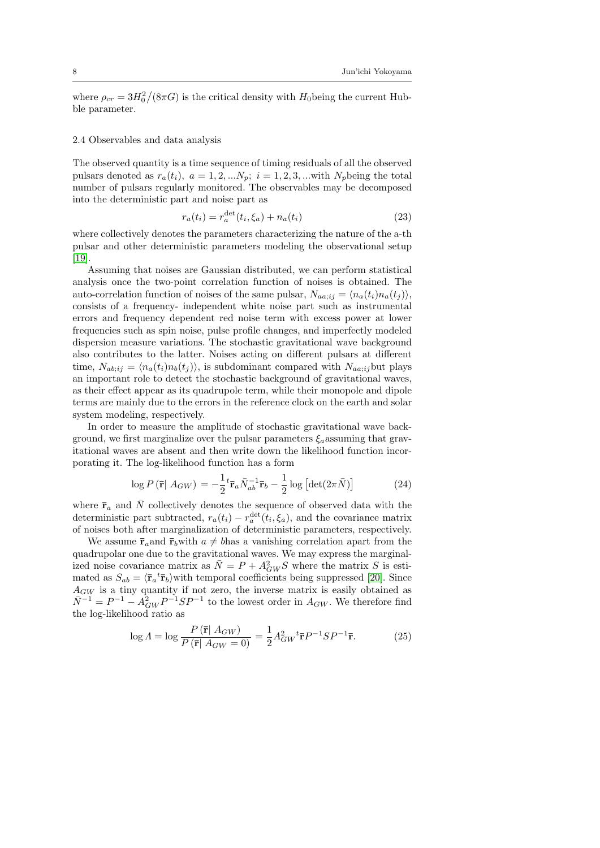where  $\rho_{cr} = 3H_0^2/(8\pi G)$  is the critical density with  $H_0$  being the current Hubble parameter.

## 2.4 Observables and data analysis

The observed quantity is a time sequence of timing residuals of all the observed pulsars denoted as  $r_a(t_i)$ ,  $a = 1, 2, ...N_p$ ;  $i = 1, 2, 3, ...$  with  $N_p$  being the total number of pulsars regularly monitored. The observables may be decomposed into the deterministic part and noise part as

$$
r_a(t_i) = r_a^{\text{det}}(t_i, \xi_a) + n_a(t_i)
$$
\n(23)

where collectively denotes the parameters characterizing the nature of the a-th pulsar and other deterministic parameters modeling the observational setup [\[19\]](#page-20-18).

Assuming that noises are Gaussian distributed, we can perform statistical analysis once the two-point correlation function of noises is obtained. The auto-correlation function of noises of the same pulsar,  $N_{a a; i j} = \langle n_a(t_i) n_a(t_j) \rangle$ , consists of a frequency- independent white noise part such as instrumental errors and frequency dependent red noise term with excess power at lower frequencies such as spin noise, pulse profile changes, and imperfectly modeled dispersion measure variations. The stochastic gravitational wave background also contributes to the latter. Noises acting on different pulsars at different time,  $N_{ab;ij} = \langle n_a(t_i)n_b(t_j) \rangle$ , is subdominant compared with  $N_{aa;ij}$ but plays an important role to detect the stochastic background of gravitational waves, as their effect appear as its quadrupole term, while their monopole and dipole terms are mainly due to the errors in the reference clock on the earth and solar system modeling, respectively.

In order to measure the amplitude of stochastic gravitational wave background, we first marginalize over the pulsar parameters  $\xi_a$  assuming that gravitational waves are absent and then write down the likelihood function incorporating it. The log-likelihood function has a form

$$
\log P\left(\bar{\mathbf{r}} \mid A_{GW}\right) = -\frac{1}{2} {}^{t} \bar{\mathbf{r}}_{a} \bar{N}_{ab}^{-1} \bar{\mathbf{r}}_{b} - \frac{1}{2} \log \left[ \det(2\pi \bar{N}) \right]
$$
(24)

where  $\bar{\mathbf{r}}_a$  and  $\bar{N}$  collectively denotes the sequence of observed data with the deterministic part subtracted,  $r_a(t_i) - r_a^{\text{det}}(t_i, \xi_a)$ , and the covariance matrix of noises both after marginalization of deterministic parameters, respectively.

We assume  $\bar{r}_a$  and  $\bar{r}_b$  with  $a \neq b$  has a vanishing correlation apart from the quadrupolar one due to the gravitational waves. We may express the marginalized noise covariance matrix as  $\overline{N} = P + A_{GW}^2 S$  where the matrix S is estimated as  $S_{ab} = \langle \bar{\mathbf{r}}_a^{\ t} \bar{\mathbf{r}}_b \rangle$  with temporal coefficients being suppressed [\[20\]](#page-20-19). Since  $A_{GW}$  is a tiny quantity if not zero, the inverse matrix is easily obtained as  $\overline{N}^{-1} = P^{-1} - A_{GW}^2 P^{-1} S P^{-1}$  to the lowest order in  $A_{GW}$ . We therefore find the log-likelihood ratio as

$$
\log A = \log \frac{P(\bar{\mathbf{r}} \mid A_{GW})}{P(\bar{\mathbf{r}} \mid A_{GW} = 0)} = \frac{1}{2} A_{GW}^2 {}^{t} \bar{\mathbf{r}} P^{-1} S P^{-1} \bar{\mathbf{r}}.
$$
 (25)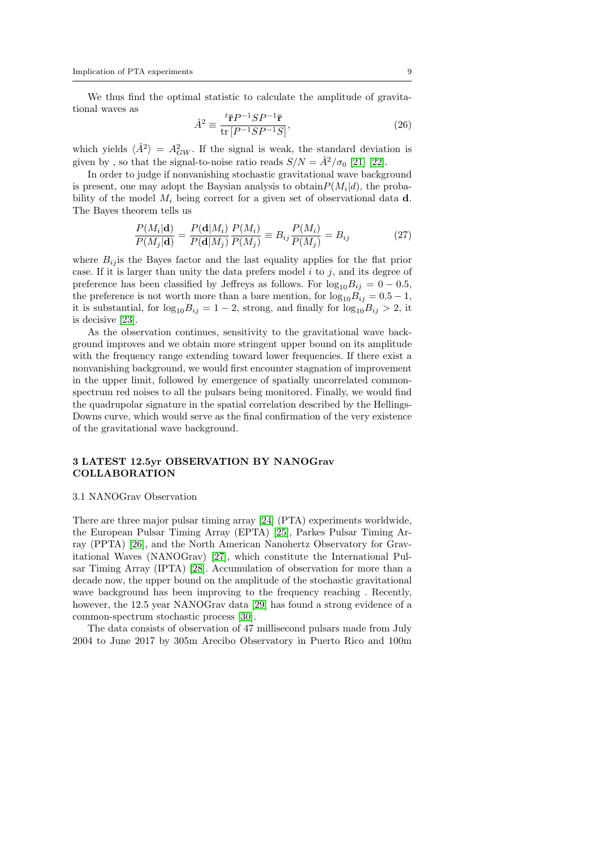We thus find the optimal statistic to calculate the amplitude of gravitational waves as  $1 \sim \tau$ 

$$
\hat{A}^2 \equiv \frac{t_{\overline{\mathbf{r}}} P^{-1} S P^{-1} \overline{\mathbf{r}}}{\text{tr}\left[P^{-1} S P^{-1} S\right]},\tag{26}
$$

which yields  $\langle \hat{A}^2 \rangle = A_{GW}^2$ . If the signal is weak, the standard deviation is given by, so that the signal-to-noise ratio reads  $S/N = \hat{A}^2/\sigma_0$  [\[21\]](#page-20-20) [\[22\]](#page-20-21).

In order to judge if nonvanishing stochastic gravitational wave background is present, one may adopt the Baysian analysis to obtain  $P(M_i|d)$ , the probability of the model  $M_i$  being correct for a given set of observational data d. The Bayes theorem tells us

$$
\frac{P(M_i|\mathbf{d})}{P(M_j|\mathbf{d})} = \frac{P(\mathbf{d}|M_i)}{P(\mathbf{d}|M_j)} \frac{P(M_i)}{P(M_j)} \equiv B_{ij} \frac{P(M_i)}{P(M_j)} = B_{ij}
$$
(27)

where  $B_{ij}$  is the Bayes factor and the last equality applies for the flat prior case. If it is larger than unity the data prefers model  $i$  to  $j$ , and its degree of preference has been classified by Jeffreys as follows. For  $\log_{10}B_{ij} = 0 - 0.5$ , the preference is not worth more than a bare mention, for  $log_{10}B_{ij} = 0.5 - 1$ , it is substantial, for  $log_{10}B_{ij} = 1 - 2$ , strong, and finally for  $log_{10}B_{ij} > 2$ , it is decisive [\[23\]](#page-20-22).

As the observation continues, sensitivity to the gravitational wave background improves and we obtain more stringent upper bound on its amplitude with the frequency range extending toward lower frequencies. If there exist a nonvanishing background, we would first encounter stagnation of improvement in the upper limit, followed by emergence of spatially uncorrelated commonspectrum red noises to all the pulsars being monitored. Finally, we would find the quadrupolar signature in the spatial correlation described by the Hellings-Downs curve, which would serve as the final confirmation of the very existence of the gravitational wave background.

# 3 LATEST 12.5yr OBSERVATION BY NANOGrav COLLABORATION

#### 3.1 NANOGrav Observation

There are three major pulsar timing array [\[24\]](#page-20-23) (PTA) experiments worldwide, the European Pulsar Timing Array (EPTA) [\[25\]](#page-20-24), Parkes Pulsar Timing Array (PPTA) [\[26\]](#page-20-25), and the North American Nanohertz Observatory for Gravitational Waves (NANOGrav) [\[27\]](#page-20-26), which constitute the International Pulsar Timing Array (IPTA) [\[28\]](#page-20-27). Accumulation of observation for more than a decade now, the upper bound on the amplitude of the stochastic gravitational wave background has been improving to the frequency reaching . Recently, however, the 12.5 year NANOGrav data [\[29\]](#page-20-28) has found a strong evidence of a common-spectrum stochastic process [\[30\]](#page-20-29).

The data consists of observation of 47 millisecond pulsars made from July 2004 to June 2017 by 305m Arecibo Observatory in Puerto Rico and 100m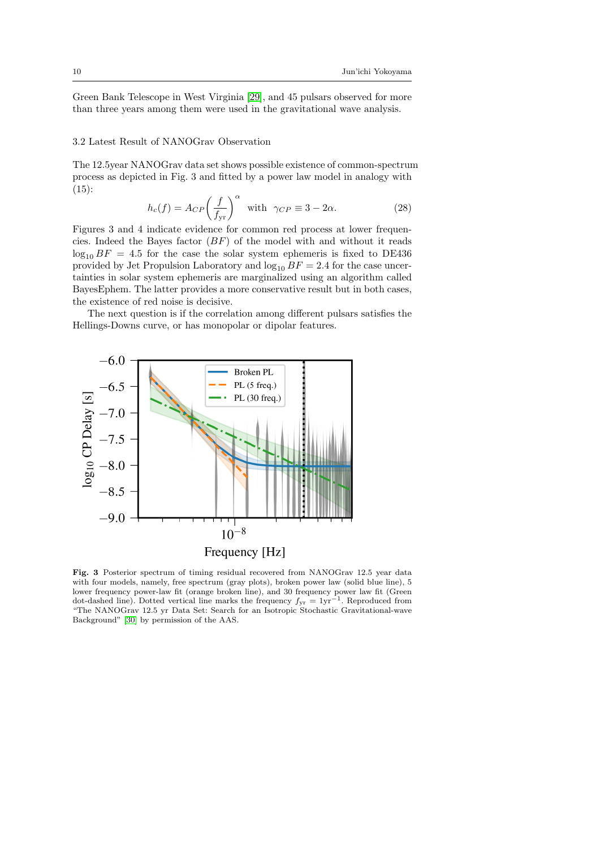Green Bank Telescope in West Virginia [\[29\]](#page-20-28), and 45 pulsars observed for more than three years among them were used in the gravitational wave analysis.

### 3.2 Latest Result of NANOGrav Observation

The 12.5year NANOGrav data set shows possible existence of common-spectrum process as depicted in Fig. 3 and fitted by a power law model in analogy with  $(15):$ 

$$
h_c(f) = A_{CP} \left(\frac{f}{f_{yr}}\right)^{\alpha} \text{ with } \gamma_{CP} \equiv 3 - 2\alpha. \tag{28}
$$

Figures 3 and 4 indicate evidence for common red process at lower frequencies. Indeed the Bayes factor  $(BF)$  of the model with and without it reads  $\log_{10} BF = 4.5$  for the case the solar system ephemeris is fixed to DE436 provided by Jet Propulsion Laboratory and  $log_{10} BF = 2.4$  for the case uncertainties in solar system ephemeris are marginalized using an algorithm called BayesEphem. The latter provides a more conservative result but in both cases, the existence of red noise is decisive.

The next question is if the correlation among different pulsars satisfies the Hellings-Downs curve, or has monopolar or dipolar features.



Fig. 3 Posterior spectrum of timing residual recovered from NANOGrav 12.5 year data with four models, namely, free spectrum (gray plots), broken power law (solid blue line), 5 lower frequency power-law fit (orange broken line), and 30 frequency power law fit (Green dot-dashed line). Dotted vertical line marks the frequency  $f_{yr} = 1yr^{-1}$ . Reproduced from "The NANOGrav 12.5 yr Data Set: Search for an Isotropic Stochastic Gravitational-wave Background" [\[30\]](#page-20-29) by permission of the AAS.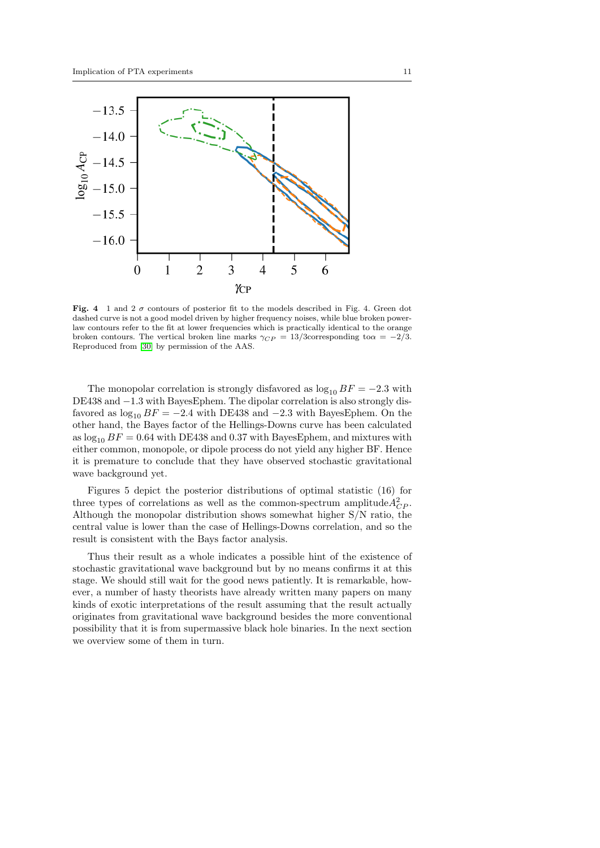

Fig. 4 1 and 2  $\sigma$  contours of posterior fit to the models described in Fig. 4. Green dot dashed curve is not a good model driven by higher frequency noises, while blue broken powerlaw contours refer to the fit at lower frequencies which is practically identical to the orange broken contours. The vertical broken line marks  $\gamma_{CP} = 13/3$ corresponding to $\alpha = -2/3$ . Reproduced from [\[30\]](#page-20-29) by permission of the AAS.

The monopolar correlation is strongly disfavored as  $\log_{10} BF = -2.3$  with DE438 and −1.3 with BayesEphem. The dipolar correlation is also strongly disfavored as  $\log_{10} BF = -2.4$  with DE438 and  $-2.3$  with BayesEphem. On the other hand, the Bayes factor of the Hellings-Downs curve has been calculated as  $\log_{10} BF = 0.64$  with DE438 and 0.37 with Bayes Ephem, and mixtures with either common, monopole, or dipole process do not yield any higher BF. Hence it is premature to conclude that they have observed stochastic gravitational wave background yet.

Figures 5 depict the posterior distributions of optimal statistic (16) for three types of correlations as well as the common-spectrum amplitude  $A_{CP}^2$ . Although the monopolar distribution shows somewhat higher S/N ratio, the central value is lower than the case of Hellings-Downs correlation, and so the result is consistent with the Bays factor analysis.

Thus their result as a whole indicates a possible hint of the existence of stochastic gravitational wave background but by no means confirms it at this stage. We should still wait for the good news patiently. It is remarkable, however, a number of hasty theorists have already written many papers on many kinds of exotic interpretations of the result assuming that the result actually originates from gravitational wave background besides the more conventional possibility that it is from supermassive black hole binaries. In the next section we overview some of them in turn.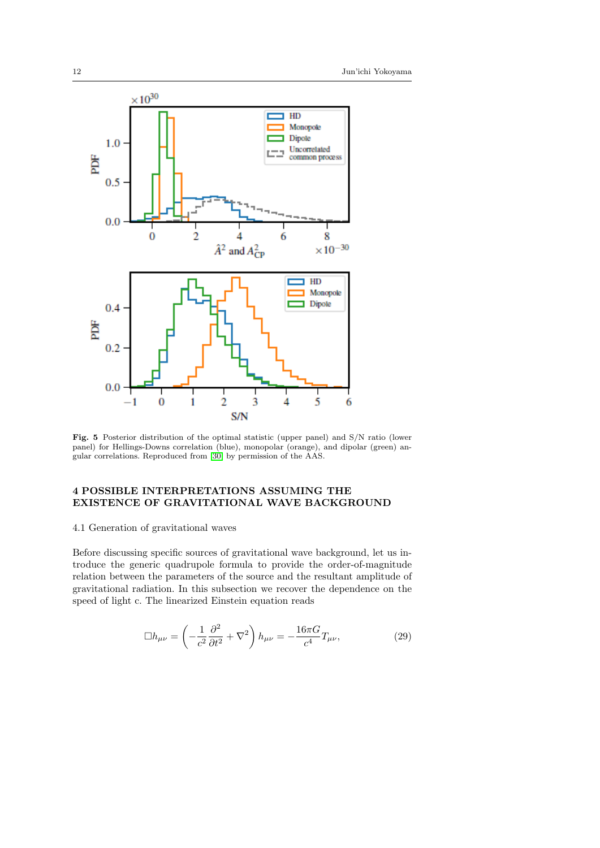

Fig. 5 Posterior distribution of the optimal statistic (upper panel) and S/N ratio (lower panel) for Hellings-Downs correlation (blue), monopolar (orange), and dipolar (green) angular correlations. Reproduced from [\[30\]](#page-20-29) by permission of the AAS.

# 4 POSSIBLE INTERPRETATIONS ASSUMING THE EXISTENCE OF GRAVITATIONAL WAVE BACKGROUND

# 4.1 Generation of gravitational waves

Before discussing specific sources of gravitational wave background, let us introduce the generic quadrupole formula to provide the order-of-magnitude relation between the parameters of the source and the resultant amplitude of gravitational radiation. In this subsection we recover the dependence on the speed of light c. The linearized Einstein equation reads

<span id="page-11-0"></span>
$$
\Box h_{\mu\nu} = \left(-\frac{1}{c^2}\frac{\partial^2}{\partial t^2} + \nabla^2\right)h_{\mu\nu} = -\frac{16\pi G}{c^4}T_{\mu\nu},\tag{29}
$$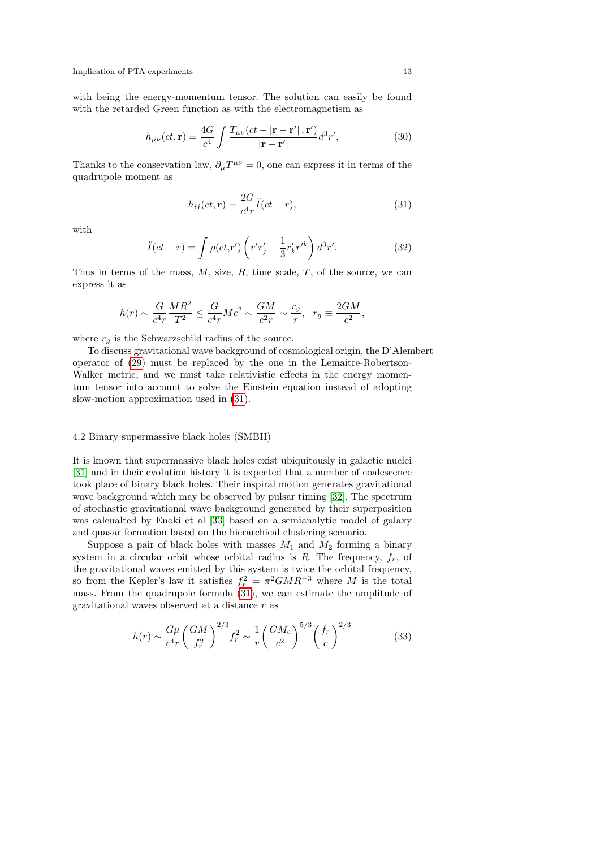with being the energy-momentum tensor. The solution can easily be found with the retarded Green function as with the electromagnetism as

$$
h_{\mu\nu}(ct, \mathbf{r}) = \frac{4G}{c^4} \int \frac{T_{\mu\nu}(ct - |\mathbf{r} - \mathbf{r}'|, \mathbf{r}')}{|\mathbf{r} - \mathbf{r}'|} d^3 r', \tag{30}
$$

Thanks to the conservation law,  $\partial_{\mu}T^{\mu\nu} = 0$ , one can express it in terms of the quadrupole moment as

<span id="page-12-0"></span>
$$
h_{ij}(ct, \mathbf{r}) = \frac{2G}{c^4 r} \ddot{I}(ct - r), \tag{31}
$$

with

$$
\ddot{I}(ct - r) = \int \rho(ct, \mathbf{r}') \left( r'r'_j - \frac{1}{3}r'_k r'^k \right) d^3r'. \tag{32}
$$

Thus in terms of the mass,  $M$ , size,  $R$ , time scale,  $T$ , of the source, we can express it as

$$
h(r)\sim \frac{G}{c^4r}\frac{MR^2}{T^2}\leq \frac{G}{c^4r}Mc^2\sim \frac{GM}{c^2r}\sim \frac{r_g}{r},\ \ r_g\equiv \frac{2GM}{c^2},
$$

where  $r_a$  is the Schwarzschild radius of the source.

To discuss gravitational wave background of cosmological origin, the D'Alembert operator of [\(29\)](#page-11-0) must be replaced by the one in the Lemaitre-Robertson-Walker metric, and we must take relativistic effects in the energy momentum tensor into account to solve the Einstein equation instead of adopting slow-motion approximation used in [\(31\)](#page-12-0).

#### 4.2 Binary supermassive black holes (SMBH)

It is known that supermassive black holes exist ubiquitously in galactic nuclei [\[31\]](#page-20-30) and in their evolution history it is expected that a number of coalescence took place of binary black holes. Their inspiral motion generates gravitational wave background which may be observed by pulsar timing [\[32\]](#page-20-31). The spectrum of stochastic gravitational wave background generated by their superposition was calcualted by Enoki et al [\[33\]](#page-20-32) based on a semianalytic model of galaxy and quasar formation based on the hierarchical clustering scenario.

Suppose a pair of black holes with masses  $M_1$  and  $M_2$  forming a binary system in a circular orbit whose orbital radius is R. The frequency,  $f_r$ , of the gravitational waves emitted by this system is twice the orbital frequency, so from the Kepler's law it satisfies  $f_r^2 = \pi^2 G M R^{-3}$  where M is the total mass. From the quadrupole formula [\(31\)](#page-12-0), we can estimate the amplitude of gravitational waves observed at a distance r as

$$
h(r) \sim \frac{G\mu}{c^4 r} \left(\frac{GM}{f_r^2}\right)^{2/3} f_r^2 \sim \frac{1}{r} \left(\frac{GM_c}{c^2}\right)^{5/3} \left(\frac{f_r}{c}\right)^{2/3} \tag{33}
$$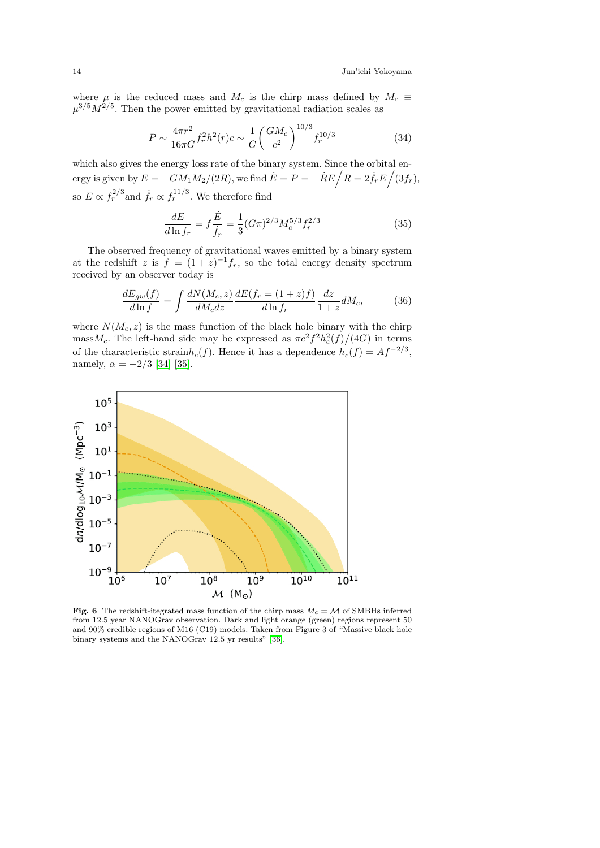where  $\mu$  is the reduced mass and  $M_c$  is the chirp mass defined by  $M_c \equiv$  $\mu^{3/5} M^{2/5}$ . Then the power emitted by gravitational radiation scales as

$$
P \sim \frac{4\pi r^2}{16\pi G} f_r^2 h^2(r) c \sim \frac{1}{G} \left(\frac{GM_c}{c^2}\right)^{10/3} f_r^{10/3}
$$
(34)

which also gives the energy loss rate of the binary system. Since the orbital energy is given by  $E = -GM_1M_2/(2R)$ , we find  $\dot{E} = P = -\dot{R}E\Big/R = 2\dot{f}_rE\Big/(3f_r),$ so  $E \propto f_r^{2/3}$  and  $\dot{f}_r \propto f_r^{11/3}$ . We therefore find

$$
\frac{dE}{d\ln f_r} = f\frac{\dot{E}}{\dot{f}_r} = \frac{1}{3}(G\pi)^{2/3}M_c^{5/3}f_r^{2/3}
$$
\n(35)

The observed frequency of gravitational waves emitted by a binary system at the redshift z is  $f = (1+z)^{-1}f_r$ , so the total energy density spectrum received by an observer today is

$$
\frac{dE_{gw}(f)}{d\ln f} = \int \frac{dN(M_c, z)}{dM_c dz} \frac{dE(f_r = (1+z)f)}{d\ln f_r} \frac{dz}{1+z} dM_c,\tag{36}
$$

where  $N(M_c, z)$  is the mass function of the black hole binary with the chirp mass $M_c$ . The left-hand side may be expressed as  $\pi c^2 f^2 h_c^2(f)/(4G)$  in terms of the characteristic strain $h_c(f)$ . Hence it has a dependence  $h_c(f) = Af^{-2/3}$ , namely,  $\alpha = -2/3$  [\[34\]](#page-20-33) [\[35\]](#page-20-34).



Fig. 6 The redshift-itegrated mass function of the chirp mass  $M_c = \mathcal{M}$  of SMBHs inferred from 12.5 year NANOGrav observation. Dark and light orange (green) regions represent 50 and 90% credible regions of M16 (C19) models. Taken from Figure 3 of "Massive black hole binary systems and the NANOGrav 12.5 yr results" [\[36\]](#page-20-35).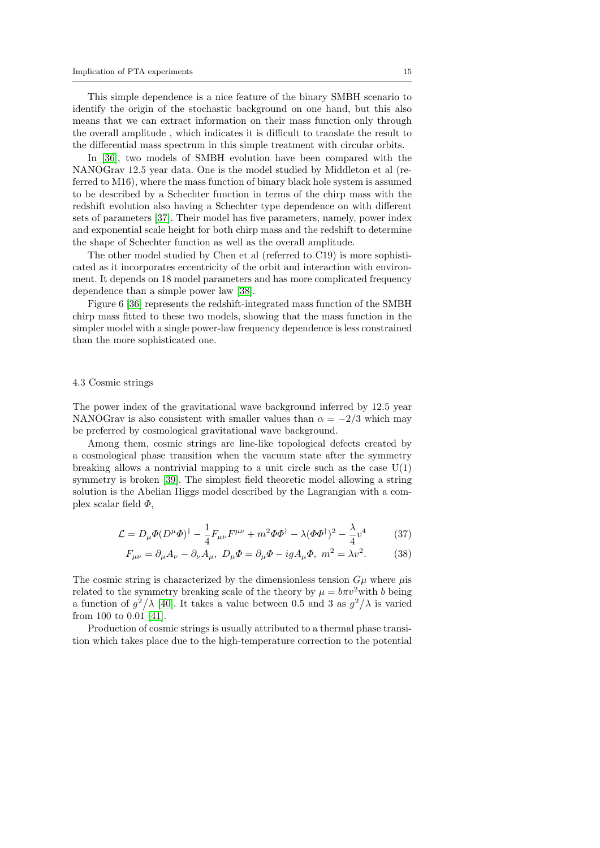This simple dependence is a nice feature of the binary SMBH scenario to identify the origin of the stochastic background on one hand, but this also means that we can extract information on their mass function only through the overall amplitude , which indicates it is difficult to translate the result to the differential mass spectrum in this simple treatment with circular orbits.

In [\[36\]](#page-20-35), two models of SMBH evolution have been compared with the NANOGrav 12.5 year data. One is the model studied by Middleton et al (referred to M16), where the mass function of binary black hole system is assumed to be described by a Schechter function in terms of the chirp mass with the redshift evolution also having a Schechter type dependence on with different sets of parameters [\[37\]](#page-20-36). Their model has five parameters, namely, power index and exponential scale height for both chirp mass and the redshift to determine the shape of Schechter function as well as the overall amplitude.

The other model studied by Chen et al (referred to C19) is more sophisticated as it incorporates eccentricity of the orbit and interaction with environment. It depends on 18 model parameters and has more complicated frequency dependence than a simple power law [\[38\]](#page-20-37).

Figure 6 [\[36\]](#page-20-35) represents the redshift-integrated mass function of the SMBH chirp mass fitted to these two models, showing that the mass function in the simpler model with a single power-law frequency dependence is less constrained than the more sophisticated one.

# 4.3 Cosmic strings

The power index of the gravitational wave background inferred by 12.5 year NANOGrav is also consistent with smaller values than  $\alpha = -2/3$  which may be preferred by cosmological gravitational wave background.

Among them, cosmic strings are line-like topological defects created by a cosmological phase transition when the vacuum state after the symmetry breaking allows a nontrivial mapping to a unit circle such as the case  $U(1)$ symmetry is broken [\[39\]](#page-20-38). The simplest field theoretic model allowing a string solution is the Abelian Higgs model described by the Lagrangian with a complex scalar field  $\Phi$ ,

$$
\mathcal{L} = D_{\mu} \Phi (D^{\mu} \Phi)^{\dagger} - \frac{1}{4} F_{\mu \nu} F^{\mu \nu} + m^2 \Phi \Phi^{\dagger} - \lambda (\Phi \Phi^{\dagger})^2 - \frac{\lambda}{4} v^4 \tag{37}
$$

$$
F_{\mu\nu} = \partial_{\mu}A_{\nu} - \partial_{\nu}A_{\mu}, \ D_{\mu}\Phi = \partial_{\mu}\Phi - igA_{\mu}\Phi, \ m^2 = \lambda v^2. \tag{38}
$$

The cosmic string is characterized by the dimensionless tension  $G\mu$  where  $\mu$ is related to the symmetry breaking scale of the theory by  $\mu = b\pi v^2$  with b being a function of  $g^2/\lambda$  [\[40\]](#page-20-39). It takes a value between 0.5 and 3 as  $g^2/\lambda$  is varied from 100 to 0.01 [\[41\]](#page-20-40).

Production of cosmic strings is usually attributed to a thermal phase transition which takes place due to the high-temperature correction to the potential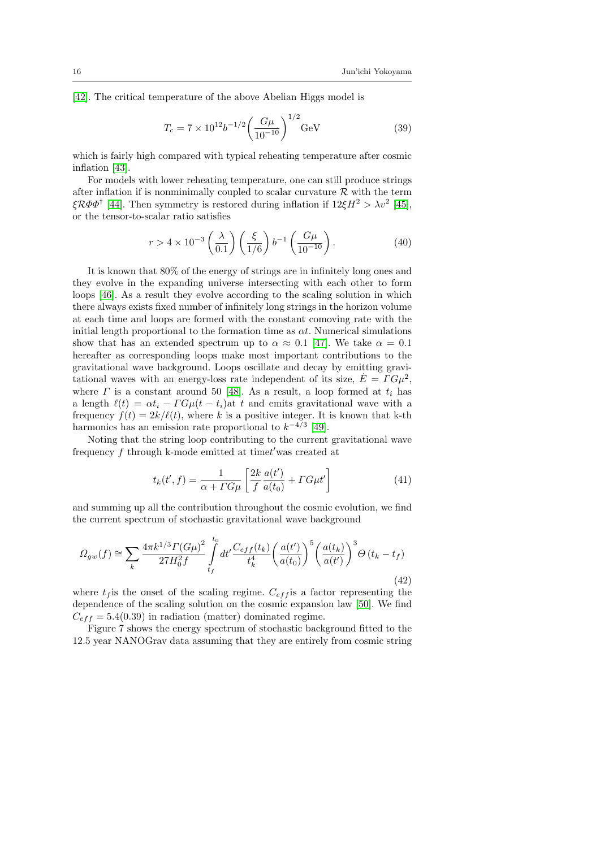[\[42\]](#page-20-41). The critical temperature of the above Abelian Higgs model is

$$
T_c = 7 \times 10^{12} b^{-1/2} \left(\frac{G\mu}{10^{-10}}\right)^{1/2} \text{GeV}
$$
 (39)

which is fairly high compared with typical reheating temperature after cosmic inflation [\[43\]](#page-21-0).

For models with lower reheating temperature, one can still produce strings after inflation if is nonminimally coupled to scalar curvature  $R$  with the term  $\xi \mathcal{R} \Phi \Phi^{\dagger}$  [\[44\]](#page-21-1). Then symmetry is restored during inflation if  $12 \xi H^2 > \lambda v^2$  [\[45\]](#page-21-2), or the tensor-to-scalar ratio satisfies

$$
r > 4 \times 10^{-3} \left(\frac{\lambda}{0.1}\right) \left(\frac{\xi}{1/6}\right) b^{-1} \left(\frac{G\mu}{10^{-10}}\right). \tag{40}
$$

It is known that 80% of the energy of strings are in infinitely long ones and they evolve in the expanding universe intersecting with each other to form loops [\[46\]](#page-21-3). As a result they evolve according to the scaling solution in which there always exists fixed number of infinitely long strings in the horizon volume at each time and loops are formed with the constant comoving rate with the initial length proportional to the formation time as  $\alpha t$ . Numerical simulations show that has an extended spectrum up to  $\alpha \approx 0.1$  [\[47\]](#page-21-4). We take  $\alpha = 0.1$ hereafter as corresponding loops make most important contributions to the gravitational wave background. Loops oscillate and decay by emitting gravitational waves with an energy-loss rate independent of its size,  $\dot{E} = \Gamma G \mu^2$ , where  $\Gamma$  is a constant around 50 [\[48\]](#page-21-5). As a result, a loop formed at  $t_i$  has a length  $\ell(t) = \alpha t_i - \Gamma G \mu(t - t_i)$  at t and emits gravitational wave with a frequency  $f(t) = 2k/\ell(t)$ , where k is a positive integer. It is known that k-th harmonics has an emission rate proportional to  $k^{-4/3}$  [\[49\]](#page-21-6).

Noting that the string loop contributing to the current gravitational wave frequency  $f$  through k-mode emitted at time $t'$  was created at

$$
t_k(t',f) = \frac{1}{\alpha + T G \mu} \left[ \frac{2k}{f} \frac{a(t')}{a(t_0)} + T G \mu t' \right]
$$
(41)

and summing up all the contribution throughout the cosmic evolution, we find the current spectrum of stochastic gravitational wave background

$$
\Omega_{gw}(f) \cong \sum_{k} \frac{4\pi k^{1/3} \Gamma(G\mu)^2}{27H_0^2 f} \int_{t_f}^{t_0} dt' \frac{C_{eff}(t_k)}{t_k^4} \left(\frac{a(t')}{a(t_0)}\right)^5 \left(\frac{a(t_k)}{a(t')}\right)^3 \Theta(t_k - t_f) \tag{42}
$$

where  $t_f$  is the onset of the scaling regime.  $C_{eff}$  is a factor representing the dependence of the scaling solution on the cosmic expansion law [\[50\]](#page-21-7). We find  $C_{eff} = 5.4(0.39)$  in radiation (matter) dominated regime.

Figure 7 shows the energy spectrum of stochastic background fitted to the 12.5 year NANOGrav data assuming that they are entirely from cosmic string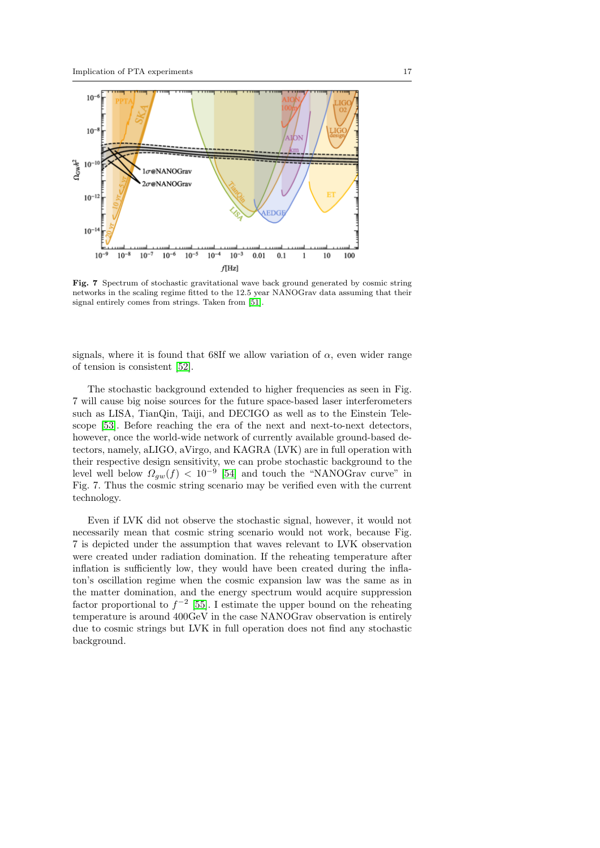

Fig. 7 Spectrum of stochastic gravitational wave back ground generated by cosmic string networks in the scaling regime fitted to the 12.5 year NANOGrav data assuming that their signal entirely comes from strings. Taken from [\[51\]](#page-21-8).

signals, where it is found that 68If we allow variation of  $\alpha$ , even wider range of tension is consistent [\[52\]](#page-21-9).

The stochastic background extended to higher frequencies as seen in Fig. 7 will cause big noise sources for the future space-based laser interferometers such as LISA, TianQin, Taiji, and DECIGO as well as to the Einstein Telescope [\[53\]](#page-21-10). Before reaching the era of the next and next-to-next detectors, however, once the world-wide network of currently available ground-based detectors, namely, aLIGO, aVirgo, and KAGRA (LVK) are in full operation with their respective design sensitivity, we can probe stochastic background to the level well below  $\Omega_{gw}(f) < 10^{-9}$  [\[54\]](#page-21-11) and touch the "NANOGrav curve" in Fig. 7. Thus the cosmic string scenario may be verified even with the current technology.

Even if LVK did not observe the stochastic signal, however, it would not necessarily mean that cosmic string scenario would not work, because Fig. 7 is depicted under the assumption that waves relevant to LVK observation were created under radiation domination. If the reheating temperature after inflation is sufficiently low, they would have been created during the inflaton's oscillation regime when the cosmic expansion law was the same as in the matter domination, and the energy spectrum would acquire suppression factor proportional to  $f^{-2}$  [\[55\]](#page-21-12). I estimate the upper bound on the reheating temperature is around 400GeV in the case NANOGrav observation is entirely due to cosmic strings but LVK in full operation does not find any stochastic background.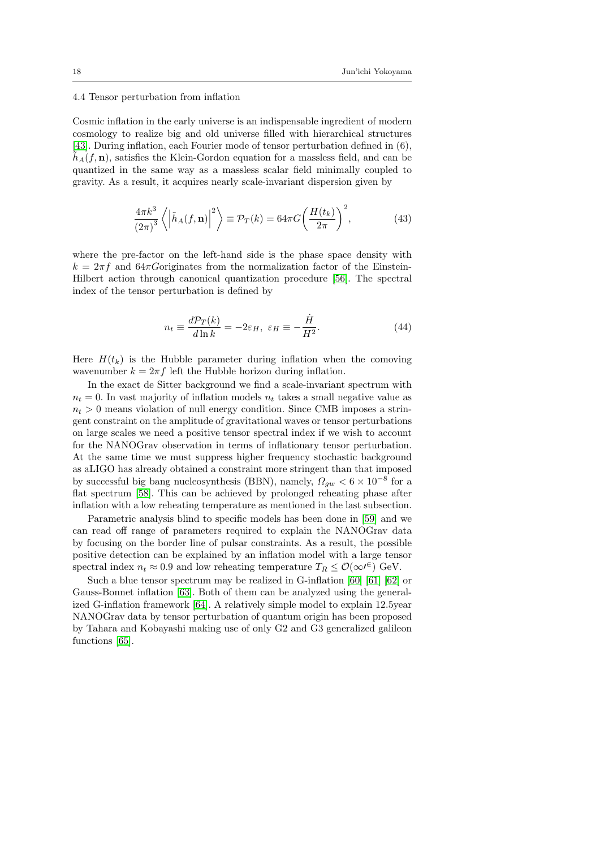#### 4.4 Tensor perturbation from inflation

Cosmic inflation in the early universe is an indispensable ingredient of modern cosmology to realize big and old universe filled with hierarchical structures [\[43\]](#page-21-0). During inflation, each Fourier mode of tensor perturbation defined in (6),  $h_A(f, \mathbf{n})$ , satisfies the Klein-Gordon equation for a massless field, and can be quantized in the same way as a massless scalar field minimally coupled to gravity. As a result, it acquires nearly scale-invariant dispersion given by

$$
\frac{4\pi k^3}{(2\pi)^3} \left\langle \left| \tilde{h}_A(f, \mathbf{n}) \right|^2 \right\rangle \equiv \mathcal{P}_T(k) = 64\pi G \left( \frac{H(t_k)}{2\pi} \right)^2,\tag{43}
$$

where the pre-factor on the left-hand side is the phase space density with  $k = 2\pi f$  and 64 $\pi$ Goriginates from the normalization factor of the Einstein-Hilbert action through canonical quantization procedure [\[56\]](#page-21-13). The spectral index of the tensor perturbation is defined by

$$
n_t \equiv \frac{d\mathcal{P}_T(k)}{d\ln k} = -2\varepsilon_H, \ \varepsilon_H \equiv -\frac{\dot{H}}{H^2}.
$$
 (44)

Here  $H(t_k)$  is the Hubble parameter during inflation when the comoving wavenumber  $k = 2\pi f$  left the Hubble horizon during inflation.

In the exact de Sitter background we find a scale-invariant spectrum with  $n_t = 0$ . In vast majority of inflation models  $n_t$  takes a small negative value as  $n_t > 0$  means violation of null energy condition. Since CMB imposes a stringent constraint on the amplitude of gravitational waves or tensor perturbations on large scales we need a positive tensor spectral index if we wish to account for the NANOGrav observation in terms of inflationary tensor perturbation. At the same time we must suppress higher frequency stochastic background as aLIGO has already obtained a constraint more stringent than that imposed by successful big bang nucleosynthesis (BBN), namely,  $\Omega_{gw} < 6 \times 10^{-8}$  for a flat spectrum [\[58\]](#page-21-14). This can be achieved by prolonged reheating phase after inflation with a low reheating temperature as mentioned in the last subsection.

Parametric analysis blind to specific models has been done in [\[59\]](#page-21-15) and we can read off range of parameters required to explain the NANOGrav data by focusing on the border line of pulsar constraints. As a result, the possible positive detection can be explained by an inflation model with a large tensor spectral index  $n_t \approx 0.9$  and low reheating temperature  $T_R \leq \mathcal{O}(\infty^{6})$  GeV.

Such a blue tensor spectrum may be realized in G-inflation [\[60\]](#page-21-16) [\[61\]](#page-21-17) [\[62\]](#page-21-18) or Gauss-Bonnet inflation [\[63\]](#page-21-19). Both of them can be analyzed using the generalized G-inflation framework [\[64\]](#page-21-20). A relatively simple model to explain 12.5year NANOGrav data by tensor perturbation of quantum origin has been proposed by Tahara and Kobayashi making use of only G2 and G3 generalized galileon functions [\[65\]](#page-21-21).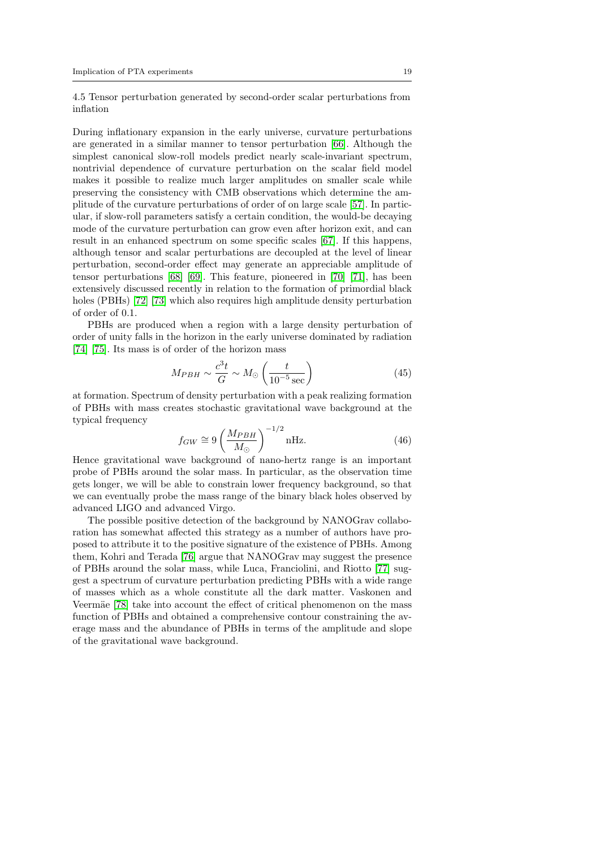4.5 Tensor perturbation generated by second-order scalar perturbations from inflation

During inflationary expansion in the early universe, curvature perturbations are generated in a similar manner to tensor perturbation [\[66\]](#page-21-22). Although the simplest canonical slow-roll models predict nearly scale-invariant spectrum, nontrivial dependence of curvature perturbation on the scalar field model makes it possible to realize much larger amplitudes on smaller scale while preserving the consistency with CMB observations which determine the amplitude of the curvature perturbations of order of on large scale [\[57\]](#page-21-23). In particular, if slow-roll parameters satisfy a certain condition, the would-be decaying mode of the curvature perturbation can grow even after horizon exit, and can result in an enhanced spectrum on some specific scales [\[67\]](#page-21-24). If this happens, although tensor and scalar perturbations are decoupled at the level of linear perturbation, second-order effect may generate an appreciable amplitude of tensor perturbations [\[68\]](#page-21-25) [\[69\]](#page-21-26). This feature, pioneered in [\[70\]](#page-21-27) [\[71\]](#page-21-28), has been extensively discussed recently in relation to the formation of primordial black holes (PBHs) [\[72\]](#page-21-29) [\[73\]](#page-21-30) which also requires high amplitude density perturbation of order of 0.1.

PBHs are produced when a region with a large density perturbation of order of unity falls in the horizon in the early universe dominated by radiation [\[74\]](#page-21-31) [\[75\]](#page-21-32). Its mass is of order of the horizon mass

$$
M_{PBH} \sim \frac{c^3 t}{G} \sim M_{\odot} \left(\frac{t}{10^{-5} \text{ sec}}\right)
$$
 (45)

at formation. Spectrum of density perturbation with a peak realizing formation of PBHs with mass creates stochastic gravitational wave background at the typical frequency

$$
f_{GW} \cong 9 \left(\frac{M_{PBH}}{M_{\odot}}\right)^{-1/2} \text{nHz.}
$$
 (46)

Hence gravitational wave background of nano-hertz range is an important probe of PBHs around the solar mass. In particular, as the observation time gets longer, we will be able to constrain lower frequency background, so that we can eventually probe the mass range of the binary black holes observed by advanced LIGO and advanced Virgo.

The possible positive detection of the background by NANOGrav collaboration has somewhat affected this strategy as a number of authors have proposed to attribute it to the positive signature of the existence of PBHs. Among them, Kohri and Terada [\[76\]](#page-21-33) argue that NANOGrav may suggest the presence of PBHs around the solar mass, while Luca, Franciolini, and Riotto [\[77\]](#page-21-34) suggest a spectrum of curvature perturbation predicting PBHs with a wide range of masses which as a whole constitute all the dark matter. Vaskonen and Veermäe [\[78\]](#page-21-35) take into account the effect of critical phenomenon on the mass function of PBHs and obtained a comprehensive contour constraining the average mass and the abundance of PBHs in terms of the amplitude and slope of the gravitational wave background.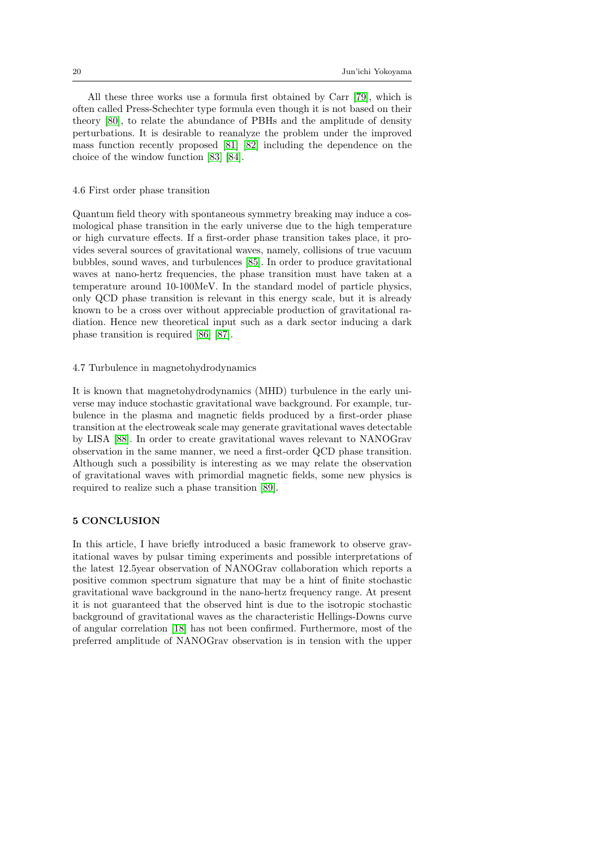All these three works use a formula first obtained by Carr [\[79\]](#page-21-36), which is often called Press-Schechter type formula even though it is not based on their theory [\[80\]](#page-21-37), to relate the abundance of PBHs and the amplitude of density perturbations. It is desirable to reanalyze the problem under the improved mass function recently proposed [\[81\]](#page-21-38) [\[82\]](#page-21-39) including the dependence on the choice of the window function [\[83\]](#page-21-40) [\[84\]](#page-21-41).

#### 4.6 First order phase transition

Quantum field theory with spontaneous symmetry breaking may induce a cosmological phase transition in the early universe due to the high temperature or high curvature effects. If a first-order phase transition takes place, it provides several sources of gravitational waves, namely, collisions of true vacuum bubbles, sound waves, and turbulences [\[85\]](#page-21-42). In order to produce gravitational waves at nano-hertz frequencies, the phase transition must have taken at a temperature around 10-100MeV. In the standard model of particle physics, only QCD phase transition is relevant in this energy scale, but it is already known to be a cross over without appreciable production of gravitational radiation. Hence new theoretical input such as a dark sector inducing a dark phase transition is required [\[86\]](#page-21-43) [\[87\]](#page-21-44).

### 4.7 Turbulence in magnetohydrodynamics

It is known that magnetohydrodynamics (MHD) turbulence in the early universe may induce stochastic gravitational wave background. For example, turbulence in the plasma and magnetic fields produced by a first-order phase transition at the electroweak scale may generate gravitational waves detectable by LISA [\[88\]](#page-21-45). In order to create gravitational waves relevant to NANOGrav observation in the same manner, we need a first-order QCD phase transition. Although such a possibility is interesting as we may relate the observation of gravitational waves with primordial magnetic fields, some new physics is required to realize such a phase transition [\[89\]](#page-21-46).

### 5 CONCLUSION

In this article, I have briefly introduced a basic framework to observe gravitational waves by pulsar timing experiments and possible interpretations of the latest 12.5year observation of NANOGrav collaboration which reports a positive common spectrum signature that may be a hint of finite stochastic gravitational wave background in the nano-hertz frequency range. At present it is not guaranteed that the observed hint is due to the isotropic stochastic background of gravitational waves as the characteristic Hellings-Downs curve of angular correlation [\[18\]](#page-20-17) has not been confirmed. Furthermore, most of the preferred amplitude of NANOGrav observation is in tension with the upper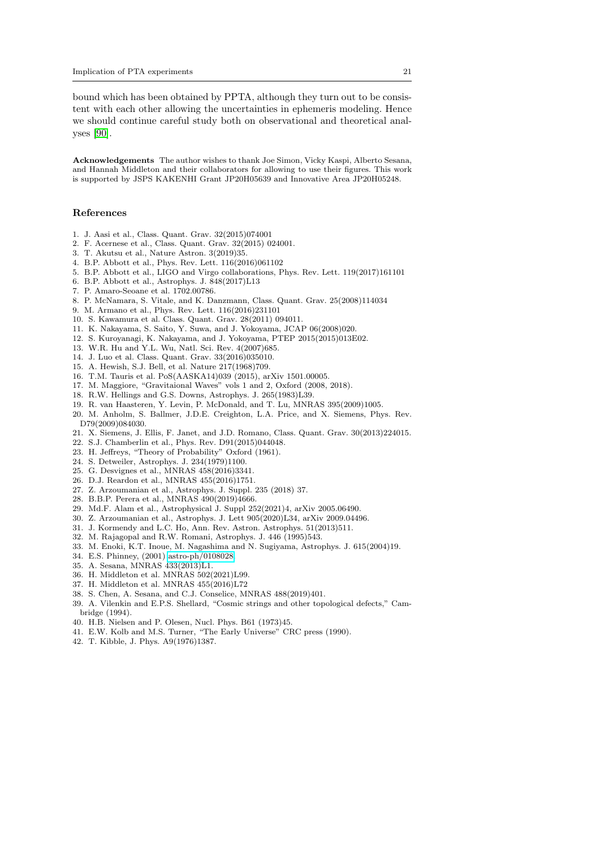bound which has been obtained by PPTA, although they turn out to be consistent with each other allowing the uncertainties in ephemeris modeling. Hence we should continue careful study both on observational and theoretical analyses [\[90\]](#page-21-47).

Acknowledgements The author wishes to thank Joe Simon, Vicky Kaspi, Alberto Sesana, and Hannah Middleton and their collaborators for allowing to use their figures. This work is supported by JSPS KAKENHI Grant JP20H05639 and Innovative Area JP20H05248.

#### References

- <span id="page-20-0"></span>1. J. Aasi et al., Class. Quant. Grav. 32(2015)074001
- <span id="page-20-1"></span>2. F. Acernese et al., Class. Quant. Grav. 32(2015) 024001.
- <span id="page-20-2"></span>3. T. Akutsu et al., Nature Astron. 3(2019)35.
- <span id="page-20-3"></span>4. B.P. Abbott et al., Phys. Rev. Lett. 116(2016)061102
- <span id="page-20-4"></span>5. B.P. Abbott et al., LIGO and Virgo collaborations, Phys. Rev. Lett. 119(2017)161101
- <span id="page-20-5"></span>6. B.P. Abbott et al., Astrophys. J. 848(2017)L13
- <span id="page-20-6"></span>7. P. Amaro-Seoane et al. 1702.00786.
- <span id="page-20-7"></span>8. P. McNamara, S. Vitale, and K. Danzmann, Class. Quant. Grav. 25(2008)114034
- <span id="page-20-8"></span>9. M. Armano et al., Phys. Rev. Lett. 116(2016)231101
- <span id="page-20-9"></span>10. S. Kawamura et al. Class. Quant. Grav. 28(2011) 094011.
- <span id="page-20-10"></span>11. K. Nakayama, S. Saito, Y. Suwa, and J. Yokoyama, JCAP 06(2008)020.
- <span id="page-20-11"></span>12. S. Kuroyanagi, K. Nakayama, and J. Yokoyama, PTEP 2015(2015)013E02.
- <span id="page-20-12"></span>13. W.R. Hu and Y.L. Wu, Natl. Sci. Rev. 4(2007)685.
- <span id="page-20-13"></span>14. J. Luo et al. Class. Quant. Grav. 33(2016)035010.
- <span id="page-20-14"></span>15. A. Hewish, S.J. Bell, et al. Nature 217(1968)709.
- <span id="page-20-15"></span>16. T.M. Tauris et al. PoS(AASKA14)039 (2015), arXiv 1501.00005.
- <span id="page-20-16"></span>17. M. Maggiore, "Gravitaional Waves" vols 1 and 2, Oxford (2008, 2018).
- <span id="page-20-17"></span>18. R.W. Hellings and G.S. Downs, Astrophys. J. 265(1983)L39.
- <span id="page-20-18"></span>19. R. van Haasteren, Y. Levin, P. McDonald, and T. Lu, MNRAS 395(2009)1005.
- <span id="page-20-19"></span>20. M. Anholm, S. Ballmer, J.D.E. Creighton, L.A. Price, and X. Siemens, Phys. Rev. D79(2009)084030.
- <span id="page-20-20"></span>21. X. Siemens, J. Ellis, F. Janet, and J.D. Romano, Class. Quant. Grav. 30(2013)224015.
- <span id="page-20-21"></span>22. S.J. Chamberlin et al., Phys. Rev. D91(2015)044048.
- <span id="page-20-22"></span>23. H. Jeffreys, "Theory of Probability" Oxford (1961).
- <span id="page-20-23"></span>24. S. Detweiler, Astrophys. J. 234(1979)1100.
- <span id="page-20-24"></span>25. G. Desvignes et al., MNRAS 458(2016)3341.
- <span id="page-20-25"></span>26. D.J. Reardon et al., MNRAS 455(2016)1751.
- <span id="page-20-26"></span>27. Z. Arzoumanian et al., Astrophys. J. Suppl. 235 (2018) 37.
- <span id="page-20-27"></span>28. B.B.P. Perera et al., MNRAS 490(2019)4666.
- <span id="page-20-28"></span>29. Md.F. Alam et al., Astrophysical J. Suppl 252(2021)4, arXiv 2005.06490.
- <span id="page-20-29"></span>30. Z. Arzoumanian et al., Astrophys. J. Lett 905(2020)L34, arXiv 2009.04496.
- <span id="page-20-30"></span>31. J. Kormendy and L.C. Ho, Ann. Rev. Astron. Astrophys. 51(2013)511.
- <span id="page-20-31"></span>32. M. Rajagopal and R.W. Romani, Astrophys. J. 446 (1995)543.
- <span id="page-20-32"></span>33. M. Enoki, K.T. Inoue, M. Nagashima and N. Sugiyama, Astrophys. J. 615(2004)19.
- <span id="page-20-33"></span>34. E.S. Phinney, (2001) [astro-ph/0108028.](http://arxiv.org/abs/astro-ph/0108028)
- <span id="page-20-34"></span>35. A. Sesana, MNRAS 433(2013)L1.
- <span id="page-20-35"></span>36. H. Middleton et al. MNRAS 502(2021)L99.
- <span id="page-20-36"></span>37. H. Middleton et al. MNRAS 455(2016)L72
- <span id="page-20-37"></span>38. S. Chen, A. Sesana, and C.J. Conselice, MNRAS 488(2019)401.
- <span id="page-20-38"></span>39. A. Vilenkin and E.P.S. Shellard, "Cosmic strings and other topological defects," Cambridge (1994).
- <span id="page-20-39"></span>40. H.B. Nielsen and P. Olesen, Nucl. Phys. B61 (1973)45.
- <span id="page-20-40"></span>41. E.W. Kolb and M.S. Turner, "The Early Universe" CRC press (1990).
- <span id="page-20-41"></span>42. T. Kibble, J. Phys. A9(1976)1387.